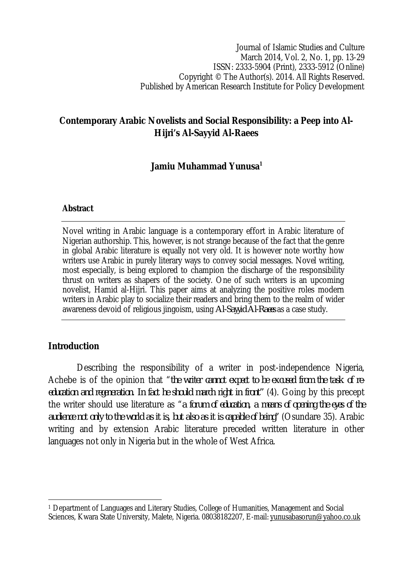Journal of Islamic Studies and Culture March 2014, Vol. 2, No. 1, pp. 13-29 ISSN: 2333-5904 (Print), 2333-5912 (Online) Copyright © The Author(s). 2014. All Rights Reserved. Published by American Research Institute for Policy Development

# **Contemporary Arabic Novelists and Social Responsibility: a Peep into Al-Hijri's Al-Sayyid Al-Raees**

# **Jamiu Muhammad Yunusa<sup>1</sup>**

#### **Abstract**

Novel writing in Arabic language is a contemporary effort in Arabic literature of Nigerian authorship. This, however, is not strange because of the fact that the genre in global Arabic literature is equally not very old. It is however note worthy how writers use Arabic in purely literary ways to convey social messages. Novel writing, most especially, is being explored to champion the discharge of the responsibility thrust on writers as shapers of the society. One of such writers is an upcoming novelist, Hamid al-Hijri. This paper aims at analyzing the positive roles modern writers in Arabic play to socialize their readers and bring them to the realm of wider awareness devoid of religious jingoism, using *Al-Sayyid Al-Raees* as a case study.

# **Introduction**

 $\overline{\phantom{a}}$ 

Describing the responsibility of a writer in post-independence Nigeria, Achebe is of the opinion that "*the writer cannot expect to be excused from the task of reeducation and regeneration. In fact he should march right in front"* (4). Going by this precept the writer should use literature as "*a forum of education, a means of opening the eyes of the audience not only to the world as it is, but also as it is capable of being"* (Osundare 35). Arabic writing and by extension Arabic literature preceded written literature in other languages not only in Nigeria but in the whole of West Africa.

<sup>1</sup> Department of Languages and Literary Studies, College of Humanities, Management and Social Sciences, Kwara State University, Malete, Nigeria. 08038182207, E-mail: yunusabasorun@yahoo.co.uk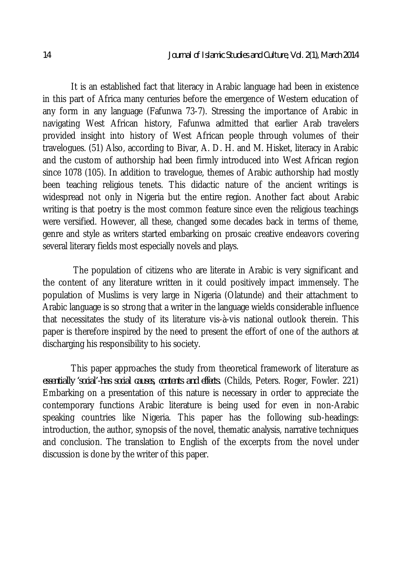It is an established fact that literacy in Arabic language had been in existence in this part of Africa many centuries before the emergence of Western education of any form in any language (Fafunwa 73-7). Stressing the importance of Arabic in navigating West African history, Fafunwa admitted that earlier Arab travelers provided insight into history of West African people through volumes of their travelogues. (51) Also, according to Bivar, A. D. H. and M. Hisket, literacy in Arabic and the custom of authorship had been firmly introduced into West African region since 1078 (105). In addition to travelogue, themes of Arabic authorship had mostly been teaching religious tenets. This didactic nature of the ancient writings is widespread not only in Nigeria but the entire region. Another fact about Arabic writing is that poetry is the most common feature since even the religious teachings were versified. However, all these, changed some decades back in terms of theme, genre and style as writers started embarking on prosaic creative endeavors covering several literary fields most especially novels and plays.

The population of citizens who are literate in Arabic is very significant and the content of any literature written in it could positively impact immensely. The population of Muslims is very large in Nigeria (Olatunde) and their attachment to Arabic language is so strong that a writer in the language wields considerable influence that necessitates the study of its literature vis-à-vis national outlook therein. This paper is therefore inspired by the need to present the effort of one of the authors at discharging his responsibility to his society.

This paper approaches the study from theoretical framework of literature as *essentially 'social'-has social causes, contents and effects.* (Childs, Peters. Roger, Fowler. 221) Embarking on a presentation of this nature is necessary in order to appreciate the contemporary functions Arabic literature is being used for even in non-Arabic speaking countries like Nigeria. This paper has the following sub-headings: introduction, the author, synopsis of the novel, thematic analysis, narrative techniques and conclusion. The translation to English of the excerpts from the novel under discussion is done by the writer of this paper.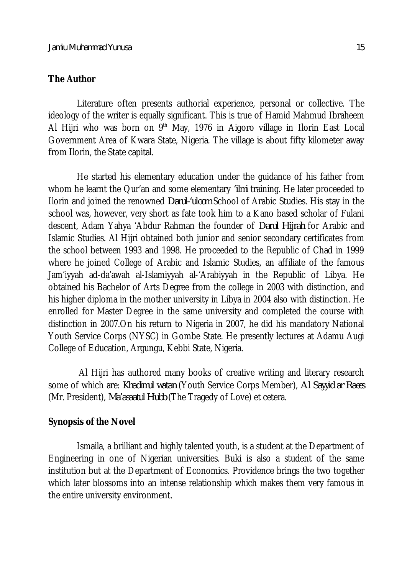#### **The Author**

Literature often presents authorial experience, personal or collective. The ideology of the writer is equally significant. This is true of Hamid Mahmud Ibraheem Al Hijri who was born on  $9<sup>th</sup>$  May, 1976 in Aigoro village in Ilorin East Local Government Area of Kwara State, Nigeria. The village is about fifty kilometer away from Ilorin, the State capital.

He started his elementary education under the guidance of his father from whom he learnt the Qur'an and some elementary *'ilmi* training. He later proceeded to Ilorin and joined the renowned *Darul-'uloom* School of Arabic Studies. His stay in the school was, however, very short as fate took him to a Kano based scholar of Fulani descent, Adam Yahya 'Abdur Rahman the founder of *Darul Hijrah* for Arabic and Islamic Studies. Al Hijri obtained both junior and senior secondary certificates from the school between 1993 and 1998. He proceeded to the Republic of Chad in 1999 where he joined College of Arabic and Islamic Studies, an affiliate of the famous Jam'iyyah ad-da'awah al-Islamiyyah al-'Arabiyyah in the Republic of Libya. He obtained his Bachelor of Arts Degree from the college in 2003 with distinction, and his higher diploma in the mother university in Libya in 2004 also with distinction. He enrolled for Master Degree in the same university and completed the course with distinction in 2007.On his return to Nigeria in 2007, he did his mandatory National Youth Service Corps (NYSC) in Gombe State. He presently lectures at Adamu Augi College of Education, Argungu, Kebbi State, Nigeria.

Al Hijri has authored many books of creative writing and literary research some of which are: *Khadimul watan* (Youth Service Corps Member), *Al Sayyid ar Raees*  (Mr. President), *Ma'asaatul Hubb* (The Tragedy of Love) et cetera.

#### **Synopsis of the Novel**

Ismaila, a brilliant and highly talented youth, is a student at the Department of Engineering in one of Nigerian universities. Buki is also a student of the same institution but at the Department of Economics. Providence brings the two together which later blossoms into an intense relationship which makes them very famous in the entire university environment.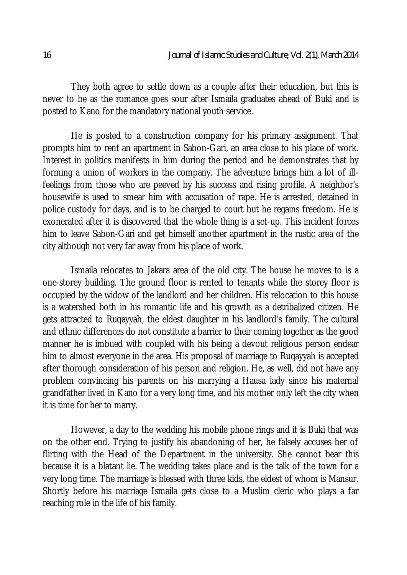They both agree to settle down as a couple after their education, but this is never to be as the romance goes sour after Ismaila graduates ahead of Buki and is posted to Kano for the mandatory national youth service.

He is posted to a construction company for his primary assignment. That prompts him to rent an apartment in Sabon-Gari, an area close to his place of work. Interest in politics manifests in him during the period and he demonstrates that by forming a union of workers in the company. The adventure brings him a lot of illfeelings from those who are peeved by his success and rising profile. A neighbor's housewife is used to smear him with accusation of rape. He is arrested, detained in police custody for days, and is to be charged to court but he regains freedom. He is exonerated after it is discovered that the whole thing is a set-up. This incident forces him to leave Sabon-Gari and get himself another apartment in the rustic area of the city although not very far away from his place of work.

Ismaila relocates to Jakara area of the old city. The house he moves to is a one-storey building. The ground floor is rented to tenants while the storey floor is occupied by the widow of the landlord and her children. His relocation to this house is a watershed both in his romantic life and his growth as a detribalized citizen. He gets attracted to Ruqayyah, the eldest daughter in his landlord's family. The cultural and ethnic differences do not constitute a barrier to their coming together as the good manner he is imbued with coupled with his being a devout religious person endear him to almost everyone in the area. His proposal of marriage to Ruqayyah is accepted after thorough consideration of his person and religion. He, as well, did not have any problem convincing his parents on his marrying a Hausa lady since his maternal grandfather lived in Kano for a very long time, and his mother only left the city when it is time for her to marry.

However, a day to the wedding his mobile phone rings and it is Buki that was on the other end. Trying to justify his abandoning of her, he falsely accuses her of flirting with the Head of the Department in the university. She cannot bear this because it is a blatant lie. The wedding takes place and is the talk of the town for a very long time. The marriage is blessed with three kids, the eldest of whom is Mansur. Shortly before his marriage Ismaila gets close to a Muslim cleric who plays a far reaching role in the life of his family.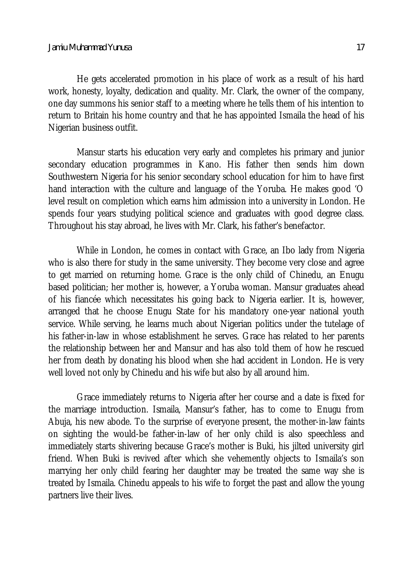He gets accelerated promotion in his place of work as a result of his hard work, honesty, loyalty, dedication and quality. Mr. Clark, the owner of the company,

one day summons his senior staff to a meeting where he tells them of his intention to return to Britain his home country and that he has appointed Ismaila the head of his Nigerian business outfit.

Mansur starts his education very early and completes his primary and junior secondary education programmes in Kano. His father then sends him down Southwestern Nigeria for his senior secondary school education for him to have first hand interaction with the culture and language of the Yoruba. He makes good 'O level result on completion which earns him admission into a university in London. He spends four years studying political science and graduates with good degree class. Throughout his stay abroad, he lives with Mr. Clark, his father's benefactor.

While in London, he comes in contact with Grace, an Ibo lady from Nigeria who is also there for study in the same university. They become very close and agree to get married on returning home. Grace is the only child of Chinedu, an Enugu based politician; her mother is, however, a Yoruba woman. Mansur graduates ahead of his fiancée which necessitates his going back to Nigeria earlier. It is, however, arranged that he choose Enugu State for his mandatory one-year national youth service. While serving, he learns much about Nigerian politics under the tutelage of his father-in-law in whose establishment he serves. Grace has related to her parents the relationship between her and Mansur and has also told them of how he rescued her from death by donating his blood when she had accident in London. He is very well loved not only by Chinedu and his wife but also by all around him.

Grace immediately returns to Nigeria after her course and a date is fixed for the marriage introduction. Ismaila, Mansur's father, has to come to Enugu from Abuja, his new abode. To the surprise of everyone present, the mother-in-law faints on sighting the would-be father-in-law of her only child is also speechless and immediately starts shivering because Grace's mother is Buki, his jilted university girl friend. When Buki is revived after which she vehemently objects to Ismaila's son marrying her only child fearing her daughter may be treated the same way she is treated by Ismaila. Chinedu appeals to his wife to forget the past and allow the young partners live their lives.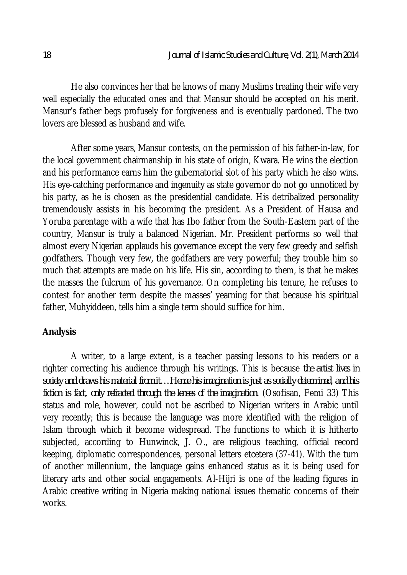He also convinces her that he knows of many Muslims treating their wife very well especially the educated ones and that Mansur should be accepted on his merit. Mansur's father begs profusely for forgiveness and is eventually pardoned. The two lovers are blessed as husband and wife.

After some years, Mansur contests, on the permission of his father-in-law, for the local government chairmanship in his state of origin, Kwara. He wins the election and his performance earns him the gubernatorial slot of his party which he also wins. His eye-catching performance and ingenuity as state governor do not go unnoticed by his party, as he is chosen as the presidential candidate. His detribalized personality tremendously assists in his becoming the president. As a President of Hausa and Yoruba parentage with a wife that has Ibo father from the South-Eastern part of the country, Mansur is truly a balanced Nigerian. Mr. President performs so well that almost every Nigerian applauds his governance except the very few greedy and selfish godfathers. Though very few, the godfathers are very powerful; they trouble him so much that attempts are made on his life. His sin, according to them, is that he makes the masses the fulcrum of his governance. On completing his tenure, he refuses to contest for another term despite the masses' yearning for that because his spiritual father, Muhyiddeen, tells him a single term should suffice for him.

### **Analysis**

A writer, to a large extent, is a teacher passing lessons to his readers or a righter correcting his audience through his writings. This is because *the artist lives in society and draws his material from it…Hence his imagination is just as socially determined, and his fiction is fact, only refracted through the lenses of the imagination.* (Osofisan, Femi 33) This status and role, however, could not be ascribed to Nigerian writers in Arabic until very recently; this is because the language was more identified with the religion of Islam through which it become widespread. The functions to which it is hitherto subjected, according to Hunwinck, J. O., are religious teaching, official record keeping, diplomatic correspondences, personal letters etcetera (37-41). With the turn of another millennium, the language gains enhanced status as it is being used for literary arts and other social engagements. Al-Hijri is one of the leading figures in Arabic creative writing in Nigeria making national issues thematic concerns of their works.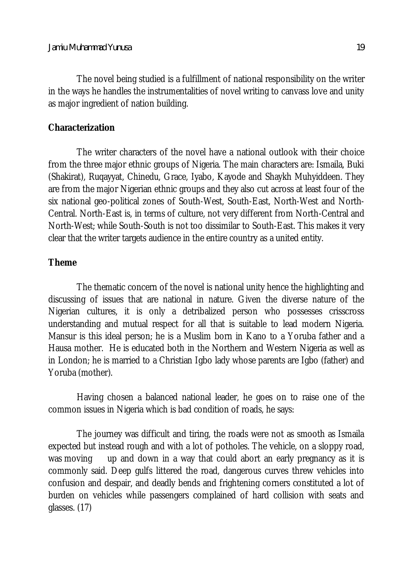The novel being studied is a fulfillment of national responsibility on the writer in the ways he handles the instrumentalities of novel writing to canvass love and unity as major ingredient of nation building.

## **Characterization**

The writer characters of the novel have a national outlook with their choice from the three major ethnic groups of Nigeria. The main characters are: Ismaila, Buki (Shakirat), Ruqayyat, Chinedu, Grace, Iyabo, Kayode and Shaykh Muhyiddeen. They are from the major Nigerian ethnic groups and they also cut across at least four of the six national geo-political zones of South-West, South-East, North-West and North-Central. North-East is, in terms of culture, not very different from North-Central and North-West; while South-South is not too dissimilar to South-East. This makes it very clear that the writer targets audience in the entire country as a united entity.

# **Theme**

The thematic concern of the novel is national unity hence the highlighting and discussing of issues that are national in nature. Given the diverse nature of the Nigerian cultures, it is only a detribalized person who possesses crisscross understanding and mutual respect for all that is suitable to lead modern Nigeria. Mansur is this ideal person; he is a Muslim born in Kano to a Yoruba father and a Hausa mother. He is educated both in the Northern and Western Nigeria as well as in London; he is married to a Christian Igbo lady whose parents are Igbo (father) and Yoruba (mother).

Having chosen a balanced national leader, he goes on to raise one of the common issues in Nigeria which is bad condition of roads, he says:

The journey was difficult and tiring, the roads were not as smooth as Ismaila expected but instead rough and with a lot of potholes. The vehicle, on a sloppy road, was moving up and down in a way that could abort an early pregnancy as it is commonly said. Deep gulfs littered the road, dangerous curves threw vehicles into confusion and despair, and deadly bends and frightening corners constituted a lot of burden on vehicles while passengers complained of hard collision with seats and glasses. (17)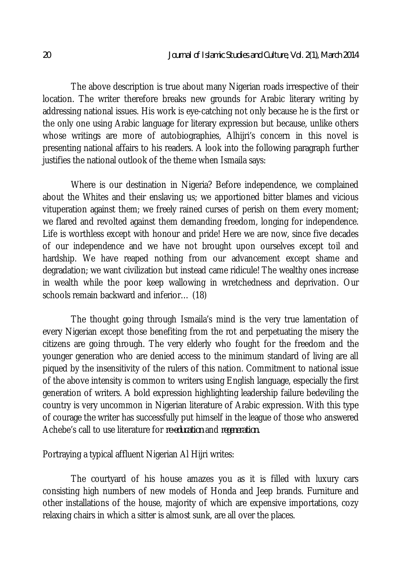The above description is true about many Nigerian roads irrespective of their location. The writer therefore breaks new grounds for Arabic literary writing by addressing national issues. His work is eye-catching not only because he is the first or the only one using Arabic language for literary expression but because, unlike others whose writings are more of autobiographies, Alhijri's concern in this novel is presenting national affairs to his readers. A look into the following paragraph further justifies the national outlook of the theme when Ismaila says:

Where is our destination in Nigeria? Before independence, we complained about the Whites and their enslaving us; we apportioned bitter blames and vicious vituperation against them; we freely rained curses of perish on them every moment; we flared and revolted against them demanding freedom, longing for independence. Life is worthless except with honour and pride! Here we are now, since five decades of our independence and we have not brought upon ourselves except toil and hardship. We have reaped nothing from our advancement except shame and degradation; we want civilization but instead came ridicule! The wealthy ones increase in wealth while the poor keep wallowing in wretchedness and deprivation. Our schools remain backward and inferior… (18)

The thought going through Ismaila's mind is the very true lamentation of every Nigerian except those benefiting from the rot and perpetuating the misery the citizens are going through. The very elderly who fought for the freedom and the younger generation who are denied access to the minimum standard of living are all piqued by the insensitivity of the rulers of this nation. Commitment to national issue of the above intensity is common to writers using English language, especially the first generation of writers. A bold expression highlighting leadership failure bedeviling the country is very uncommon in Nigerian literature of Arabic expression. With this type of courage the writer has successfully put himself in the league of those who answered Achebe's call to use literature for *re-education* and *regeneration.*

Portraying a typical affluent Nigerian Al Hijri writes:

The courtyard of his house amazes you as it is filled with luxury cars consisting high numbers of new models of Honda and Jeep brands. Furniture and other installations of the house, majority of which are expensive importations, cozy relaxing chairs in which a sitter is almost sunk, are all over the places.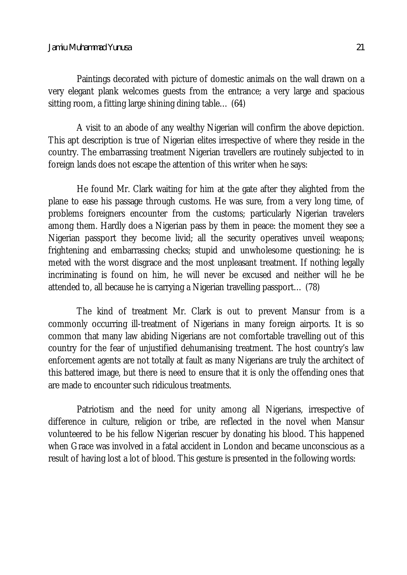Paintings decorated with picture of domestic animals on the wall drawn on a very elegant plank welcomes guests from the entrance; a very large and spacious sitting room, a fitting large shining dining table… (64)

A visit to an abode of any wealthy Nigerian will confirm the above depiction. This apt description is true of Nigerian elites irrespective of where they reside in the country. The embarrassing treatment Nigerian travellers are routinely subjected to in foreign lands does not escape the attention of this writer when he says:

He found Mr. Clark waiting for him at the gate after they alighted from the plane to ease his passage through customs. He was sure, from a very long time, of problems foreigners encounter from the customs; particularly Nigerian travelers among them. Hardly does a Nigerian pass by them in peace: the moment they see a Nigerian passport they become livid; all the security operatives unveil weapons; frightening and embarrassing checks; stupid and unwholesome questioning; he is meted with the worst disgrace and the most unpleasant treatment. If nothing legally incriminating is found on him, he will never be excused and neither will he be attended to, all because he is carrying a Nigerian travelling passport… (78)

The kind of treatment Mr. Clark is out to prevent Mansur from is a commonly occurring ill-treatment of Nigerians in many foreign airports. It is so common that many law abiding Nigerians are not comfortable travelling out of this country for the fear of unjustified dehumanising treatment. The host country's law enforcement agents are not totally at fault as many Nigerians are truly the architect of this battered image, but there is need to ensure that it is only the offending ones that are made to encounter such ridiculous treatments.

Patriotism and the need for unity among all Nigerians, irrespective of difference in culture, religion or tribe, are reflected in the novel when Mansur volunteered to be his fellow Nigerian rescuer by donating his blood. This happened when Grace was involved in a fatal accident in London and became unconscious as a result of having lost a lot of blood. This gesture is presented in the following words: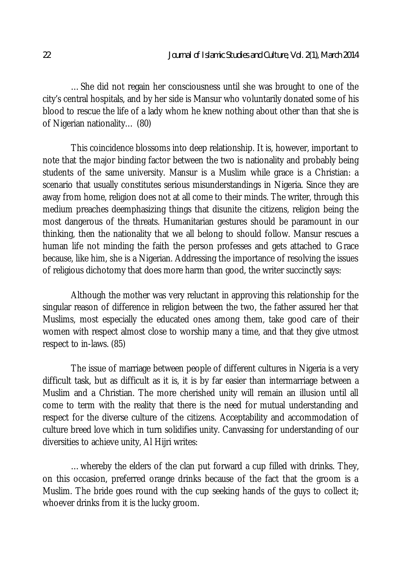…She did not regain her consciousness until she was brought to one of the city's central hospitals, and by her side is Mansur who voluntarily donated some of his blood to rescue the life of a lady whom he knew nothing about other than that she is of Nigerian nationality… (80)

This coincidence blossoms into deep relationship. It is, however, important to note that the major binding factor between the two is nationality and probably being students of the same university. Mansur is a Muslim while grace is a Christian: a scenario that usually constitutes serious misunderstandings in Nigeria. Since they are away from home, religion does not at all come to their minds. The writer, through this medium preaches deemphasizing things that disunite the citizens, religion being the most dangerous of the threats. Humanitarian gestures should be paramount in our thinking, then the nationality that we all belong to should follow. Mansur rescues a human life not minding the faith the person professes and gets attached to Grace because, like him, she is a Nigerian. Addressing the importance of resolving the issues of religious dichotomy that does more harm than good, the writer succinctly says:

Although the mother was very reluctant in approving this relationship for the singular reason of difference in religion between the two, the father assured her that Muslims, most especially the educated ones among them, take good care of their women with respect almost close to worship many a time, and that they give utmost respect to in-laws. (85)

The issue of marriage between people of different cultures in Nigeria is a very difficult task, but as difficult as it is, it is by far easier than intermarriage between a Muslim and a Christian. The more cherished unity will remain an illusion until all come to term with the reality that there is the need for mutual understanding and respect for the diverse culture of the citizens. Acceptability and accommodation of culture breed love which in turn solidifies unity. Canvassing for understanding of our diversities to achieve unity, Al Hijri writes:

…whereby the elders of the clan put forward a cup filled with drinks. They, on this occasion, preferred orange drinks because of the fact that the groom is a Muslim. The bride goes round with the cup seeking hands of the guys to collect it; whoever drinks from it is the lucky groom.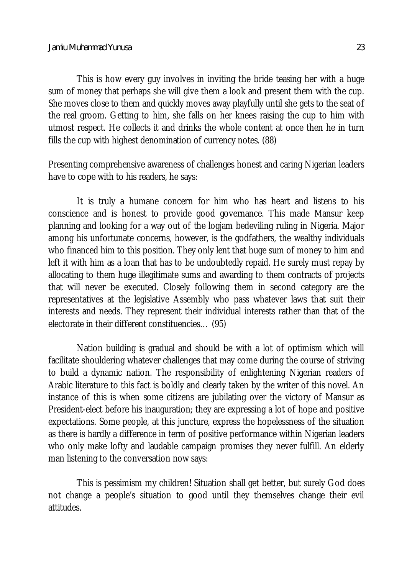This is how every guy involves in inviting the bride teasing her with a huge sum of money that perhaps she will give them a look and present them with the cup. She moves close to them and quickly moves away playfully until she gets to the seat of the real groom. Getting to him, she falls on her knees raising the cup to him with utmost respect. He collects it and drinks the whole content at once then he in turn fills the cup with highest denomination of currency notes. (88)

Presenting comprehensive awareness of challenges honest and caring Nigerian leaders have to cope with to his readers, he says:

It is truly a humane concern for him who has heart and listens to his conscience and is honest to provide good governance. This made Mansur keep planning and looking for a way out of the logjam bedeviling ruling in Nigeria. Major among his unfortunate concerns, however, is the godfathers, the wealthy individuals who financed him to this position. They only lent that huge sum of money to him and left it with him as a loan that has to be undoubtedly repaid. He surely must repay by allocating to them huge illegitimate sums and awarding to them contracts of projects that will never be executed. Closely following them in second category are the representatives at the legislative Assembly who pass whatever laws that suit their interests and needs. They represent their individual interests rather than that of the electorate in their different constituencies… (95)

Nation building is gradual and should be with a lot of optimism which will facilitate shouldering whatever challenges that may come during the course of striving to build a dynamic nation. The responsibility of enlightening Nigerian readers of Arabic literature to this fact is boldly and clearly taken by the writer of this novel. An instance of this is when some citizens are jubilating over the victory of Mansur as President-elect before his inauguration; they are expressing a lot of hope and positive expectations. Some people, at this juncture, express the hopelessness of the situation as there is hardly a difference in term of positive performance within Nigerian leaders who only make lofty and laudable campaign promises they never fulfill. An elderly man listening to the conversation now says:

This is pessimism my children! Situation shall get better, but surely God does not change a people's situation to good until they themselves change their evil attitudes.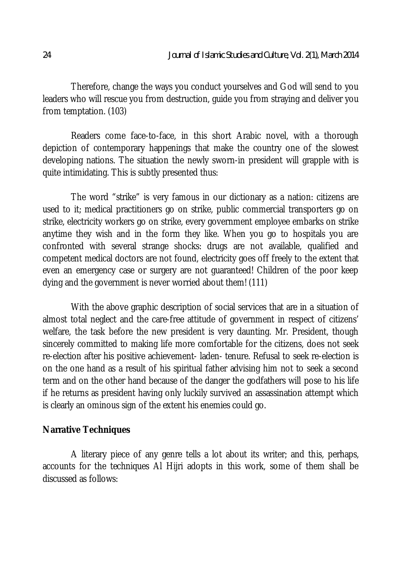Therefore, change the ways you conduct yourselves and God will send to you leaders who will rescue you from destruction, guide you from straying and deliver you from temptation. (103)

Readers come face-to-face, in this short Arabic novel, with a thorough depiction of contemporary happenings that make the country one of the slowest developing nations. The situation the newly sworn-in president will grapple with is quite intimidating. This is subtly presented thus:

The word "strike" is very famous in our dictionary as a nation: citizens are used to it; medical practitioners go on strike, public commercial transporters go on strike, electricity workers go on strike, every government employee embarks on strike anytime they wish and in the form they like. When you go to hospitals you are confronted with several strange shocks: drugs are not available, qualified and competent medical doctors are not found, electricity goes off freely to the extent that even an emergency case or surgery are not guaranteed! Children of the poor keep dying and the government is never worried about them! (111)

With the above graphic description of social services that are in a situation of almost total neglect and the care-free attitude of government in respect of citizens' welfare, the task before the new president is very daunting. Mr. President, though sincerely committed to making life more comfortable for the citizens, does not seek re-election after his positive achievement- laden- tenure. Refusal to seek re-election is on the one hand as a result of his spiritual father advising him not to seek a second term and on the other hand because of the danger the godfathers will pose to his life if he returns as president having only luckily survived an assassination attempt which is clearly an ominous sign of the extent his enemies could go.

### **Narrative Techniques**

A literary piece of any genre tells a lot about its writer; and this, perhaps, accounts for the techniques Al Hijri adopts in this work, some of them shall be discussed as follows: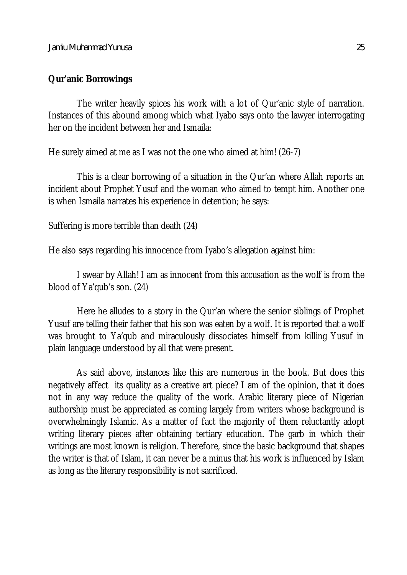#### **Qur'anic Borrowings**

The writer heavily spices his work with a lot of Qur'anic style of narration. Instances of this abound among which what Iyabo says onto the lawyer interrogating her on the incident between her and Ismaila:

He surely aimed at me as I was not the one who aimed at him! (26-7)

This is a clear borrowing of a situation in the Qur'an where Allah reports an incident about Prophet Yusuf and the woman who aimed to tempt him. Another one is when Ismaila narrates his experience in detention; he says:

Suffering is more terrible than death (24)

He also says regarding his innocence from Iyabo's allegation against him:

I swear by Allah! I am as innocent from this accusation as the wolf is from the blood of Ya'qub's son. (24)

Here he alludes to a story in the Qur'an where the senior siblings of Prophet Yusuf are telling their father that his son was eaten by a wolf. It is reported that a wolf was brought to Ya'qub and miraculously dissociates himself from killing Yusuf in plain language understood by all that were present.

As said above, instances like this are numerous in the book. But does this negatively affect its quality as a creative art piece? I am of the opinion, that it does not in any way reduce the quality of the work. Arabic literary piece of Nigerian authorship must be appreciated as coming largely from writers whose background is overwhelmingly Islamic. As a matter of fact the majority of them reluctantly adopt writing literary pieces after obtaining tertiary education. The garb in which their writings are most known is religion. Therefore, since the basic background that shapes the writer is that of Islam, it can never be a minus that his work is influenced by Islam as long as the literary responsibility is not sacrificed.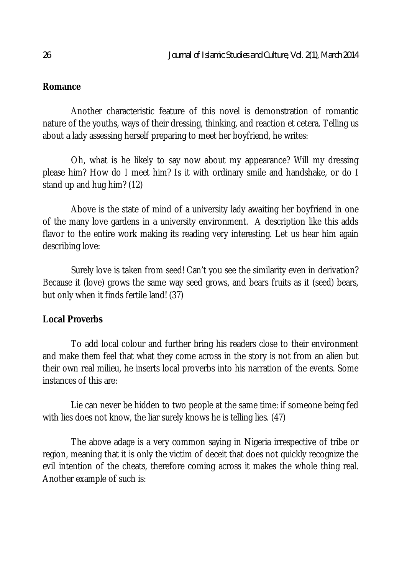## **Romance**

Another characteristic feature of this novel is demonstration of romantic nature of the youths, ways of their dressing, thinking, and reaction et cetera. Telling us about a lady assessing herself preparing to meet her boyfriend, he writes:

Oh, what is he likely to say now about my appearance? Will my dressing please him? How do I meet him? Is it with ordinary smile and handshake, or do I stand up and hug him? (12)

Above is the state of mind of a university lady awaiting her boyfriend in one of the many love gardens in a university environment. A description like this adds flavor to the entire work making its reading very interesting. Let us hear him again describing love:

Surely love is taken from seed! Can't you see the similarity even in derivation? Because it (love) grows the same way seed grows, and bears fruits as it (seed) bears, but only when it finds fertile land! (37)

### **Local Proverbs**

To add local colour and further bring his readers close to their environment and make them feel that what they come across in the story is not from an alien but their own real milieu, he inserts local proverbs into his narration of the events. Some instances of this are:

Lie can never be hidden to two people at the same time: if someone being fed with lies does not know, the liar surely knows he is telling lies. (47)

The above adage is a very common saying in Nigeria irrespective of tribe or region, meaning that it is only the victim of deceit that does not quickly recognize the evil intention of the cheats, therefore coming across it makes the whole thing real. Another example of such is: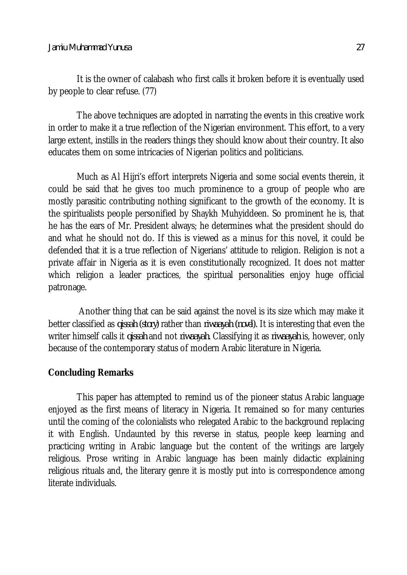It is the owner of calabash who first calls it broken before it is eventually used by people to clear refuse. (77)

The above techniques are adopted in narrating the events in this creative work in order to make it a true reflection of the Nigerian environment. This effort, to a very large extent, instills in the readers things they should know about their country. It also educates them on some intricacies of Nigerian politics and politicians.

Much as Al Hijri's effort interprets Nigeria and some social events therein, it could be said that he gives too much prominence to a group of people who are mostly parasitic contributing nothing significant to the growth of the economy. It is the spiritualists people personified by Shaykh Muhyiddeen. So prominent he is, that he has the ears of Mr. President always; he determines what the president should do and what he should not do. If this is viewed as a minus for this novel, it could be defended that it is a true reflection of Nigerians' attitude to religion. Religion is not a private affair in Nigeria as it is even constitutionally recognized. It does not matter which religion a leader practices, the spiritual personalities enjoy huge official patronage.

Another thing that can be said against the novel is its size which may make it better classified as *qissah (story)* rather than *riwaayah (novel).* It is interesting that even the writer himself calls it *qissah* and not *riwaayah.* Classifying it as *riwaayah* is, however, only because of the contemporary status of modern Arabic literature in Nigeria.

### **Concluding Remarks**

This paper has attempted to remind us of the pioneer status Arabic language enjoyed as the first means of literacy in Nigeria. It remained so for many centuries until the coming of the colonialists who relegated Arabic to the background replacing it with English. Undaunted by this reverse in status, people keep learning and practicing writing in Arabic language but the content of the writings are largely religious. Prose writing in Arabic language has been mainly didactic explaining religious rituals and, the literary genre it is mostly put into is correspondence among literate individuals.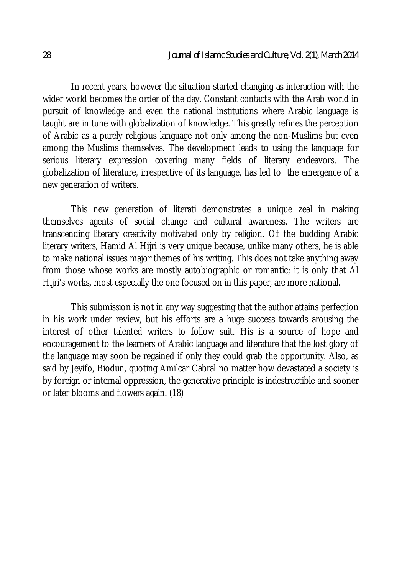In recent years, however the situation started changing as interaction with the wider world becomes the order of the day. Constant contacts with the Arab world in pursuit of knowledge and even the national institutions where Arabic language is taught are in tune with globalization of knowledge. This greatly refines the perception of Arabic as a purely religious language not only among the non-Muslims but even among the Muslims themselves. The development leads to using the language for serious literary expression covering many fields of literary endeavors. The globalization of literature, irrespective of its language, has led to the emergence of a new generation of writers.

This new generation of literati demonstrates a unique zeal in making themselves agents of social change and cultural awareness. The writers are transcending literary creativity motivated only by religion. Of the budding Arabic literary writers, Hamid Al Hijri is very unique because, unlike many others, he is able to make national issues major themes of his writing. This does not take anything away from those whose works are mostly autobiographic or romantic; it is only that Al Hijri's works, most especially the one focused on in this paper, are more national.

This submission is not in any way suggesting that the author attains perfection in his work under review, but his efforts are a huge success towards arousing the interest of other talented writers to follow suit. His is a source of hope and encouragement to the learners of Arabic language and literature that the lost glory of the language may soon be regained if only they could grab the opportunity. Also, as said by Jeyifo, Biodun, quoting Amilcar Cabral no matter how devastated a society is by foreign or internal oppression, the generative principle is indestructible and sooner or later blooms and flowers again. (18)